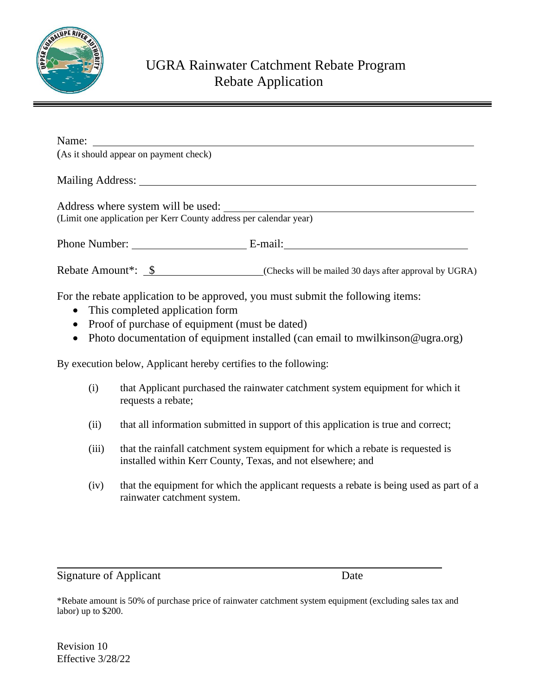

## UGRA Rainwater Catchment Rebate Program Rebate Application

| (As it should appear on payment check)                            |                                                        |
|-------------------------------------------------------------------|--------------------------------------------------------|
|                                                                   |                                                        |
| (Limit one application per Kerr County address per calendar year) |                                                        |
|                                                                   |                                                        |
| Rebate Amount <sup>*</sup> : \$                                   | (Checks will be mailed 30 days after approval by UGRA) |

For the rebate application to be approved, you must submit the following items:

- This completed application form
- Proof of purchase of equipment (must be dated)
- Photo documentation of equipment installed (can email to mwilkinson @ugra.org)

By execution below, Applicant hereby certifies to the following:

- (i) that Applicant purchased the rainwater catchment system equipment for which it requests a rebate;
- (ii) that all information submitted in support of this application is true and correct;
- (iii) that the rainfall catchment system equipment for which a rebate is requested is installed within Kerr County, Texas, and not elsewhere; and
- (iv) that the equipment for which the applicant requests a rebate is being used as part of a rainwater catchment system.

Signature of Applicant Date

\*Rebate amount is 50% of purchase price of rainwater catchment system equipment (excluding sales tax and labor) up to \$200.

Revision 10 Effective 3/28/22